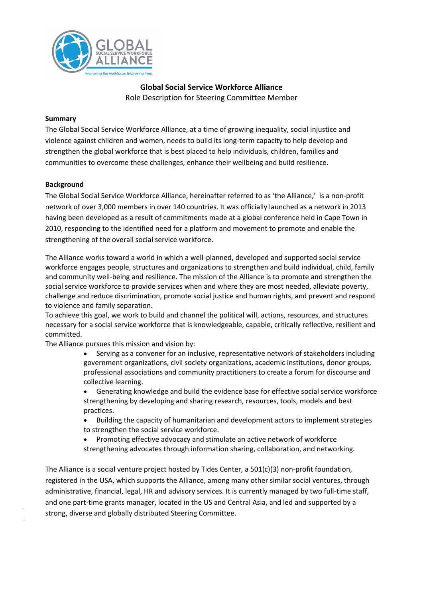

# **Global Social Service Workforce Alliance** Role Description for Steering Committee Member

#### **Summary**

The Global Social Service Workforce Alliance, at a time of growing inequality, social injustice and violence against children and women, needs to build its long-term capacity to help develop and strengthen the global workforce that is best placed to help individuals, children, families and communities to overcome these challenges, enhance their wellbeing and build resilience.

#### **Background**

The Global Social Service Workforce Alliance, hereinafter referred to as 'the Alliance,' is a non-profit network of over 3,000 members in over 140 countries. It was officially launched as a network in 2013 having been developed as a result of commitments made at a global conference held in Cape Town in 2010, responding to the identified need for a platform and movement to promote and enable the strengthening of the overall social service workforce.

The Alliance works toward a world in which a well-planned, developed and supported social service workforce engages people, structures and organizations to strengthen and build individual, child, family and community well-being and resilience. The mission of the Alliance is to promote and strengthen the social service workforce to provide services when and where they are most needed, alleviate poverty, challenge and reduce discrimination, promote social justice and human rights, and prevent and respond to violence and family separation.

To achieve this goal, we work to build and channel the political will, actions, resources, and structures necessary for a social service workforce that is knowledgeable, capable, critically reflective, resilient and committed.

The Alliance pursues this mission and vision by:

- Serving as a convener for an inclusive, representative network of stakeholders including government organizations, civil society organizations, academic institutions, donor groups, professional associations and community practitioners to create a forum for discourse and collective learning.
- Generating knowledge and build the evidence base for effective social service workforce strengthening by developing and sharing research, resources, tools, models and best practices.
- Building the capacity of humanitarian and development actors to implement strategies to strengthen the social service workforce.
- Promoting effective advocacy and stimulate an active network of workforce strengthening advocates through information sharing, collaboration, and networking.

The Alliance is a social venture project hosted by Tides Center, a 501(c)(3) non-profit foundation, registered in the USA, which supports the Alliance, among many other similar social ventures, through administrative, financial, legal, HR and advisory services. It is currently managed by two full-time staff, and one part-time grants manager, located in the US and Central Asia, and led and supported by a strong, diverse and globally distributed Steering Committee.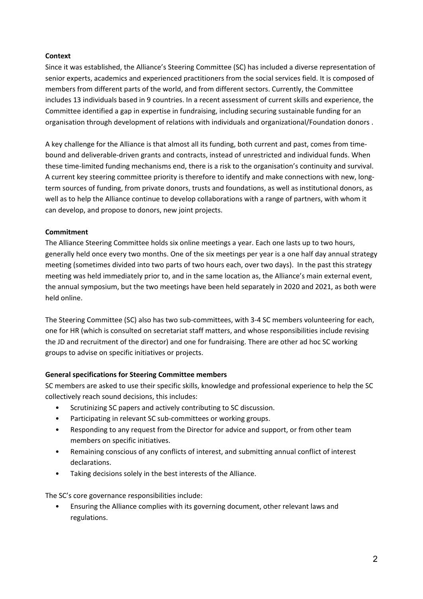### **Context**

Since it was established, the Alliance's Steering Committee (SC) has included a diverse representation of senior experts, academics and experienced practitioners from the social services field. It is composed of members from different parts of the world, and from different sectors. Currently, the Committee includes 13 individuals based in 9 countries. In a recent assessment of current skills and experience, the Committee identified a gap in expertise in fundraising, including securing sustainable funding for an organisation through development of relations with individuals and organizational/Foundation donors .

A key challenge for the Alliance is that almost all its funding, both current and past, comes from timebound and deliverable-driven grants and contracts, instead of unrestricted and individual funds. When these time-limited funding mechanisms end, there is a risk to the organisation's continuity and survival. A current key steering committee priority is therefore to identify and make connections with new, longterm sources of funding, from private donors, trusts and foundations, as well as institutional donors, as well as to help the Alliance continue to develop collaborations with a range of partners, with whom it can develop, and propose to donors, new joint projects.

### **Commitment**

The Alliance Steering Committee holds six online meetings a year. Each one lasts up to two hours, generally held once every two months. One of the six meetings per year is a one half day annual strategy meeting (sometimes divided into two parts of two hours each, over two days). In the past this strategy meeting was held immediately prior to, and in the same location as, the Alliance's main external event, the annual symposium, but the two meetings have been held separately in 2020 and 2021, as both were held online.

The Steering Committee (SC) also has two sub-committees, with 3-4 SC members volunteering for each, one for HR (which is consulted on secretariat staff matters, and whose responsibilities include revising the JD and recruitment of the director) and one for fundraising. There are other ad hoc SC working groups to advise on specific initiatives or projects.

## **General specifications for Steering Committee members**

SC members are asked to use their specific skills, knowledge and professional experience to help the SC collectively reach sound decisions, this includes:

- Scrutinizing SC papers and actively contributing to SC discussion.
- Participating in relevant SC sub-committees or working groups.
- Responding to any request from the Director for advice and support, or from other team members on specific initiatives.
- Remaining conscious of any conflicts of interest, and submitting annual conflict of interest declarations.
- Taking decisions solely in the best interests of the Alliance.

The SC's core governance responsibilities include:

• Ensuring the Alliance complies with its governing document, other relevant laws and regulations.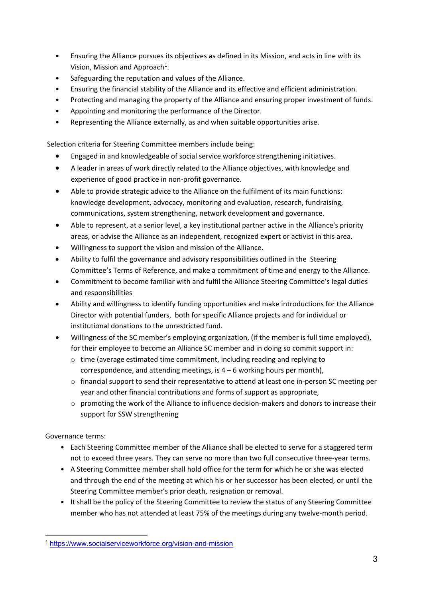- Ensuring the Alliance pursues its objectives as defined in its Mission, and acts in line with its Vision, Mission and Approach<sup>[1](#page-2-0)</sup>.
- Safeguarding the reputation and values of the Alliance.
- Ensuring the financial stability of the Alliance and its effective and efficient administration.
- Protecting and managing the property of the Alliance and ensuring proper investment of funds.
- Appointing and monitoring the performance of the Director.
- Representing the Alliance externally, as and when suitable opportunities arise.

Selection criteria for Steering Committee members include being:

- Engaged in and knowledgeable of social service workforce strengthening initiatives.
- A leader in areas of work directly related to the Alliance objectives, with knowledge and experience of good practice in non-profit governance.
- Able to provide strategic advice to the Alliance on the fulfilment of its main functions: knowledge development, advocacy, monitoring and evaluation, research, fundraising, communications, system strengthening, network development and governance.
- Able to represent, at a senior level, a key institutional partner active in the Alliance's priority areas, or advise the Alliance as an independent, recognized expert or activist in this area.
- Willingness to support the vision and mission of the Alliance.
- Ability to fulfil the governance and advisory responsibilities outlined in the Steering Committee's Terms of Reference, and make a commitment of time and energy to the Alliance.
- Commitment to become familiar with and fulfil the Alliance Steering Committee's legal duties and responsibilities
- Ability and willingness to identify funding opportunities and make introductions for the Alliance Director with potential funders, both for specific Alliance projects and for individual or institutional donations to the unrestricted fund.
- Willingness of the SC member's employing organization, (if the member is full time employed), for their employee to become an Alliance SC member and in doing so commit support in:
	- $\circ$  time (average estimated time commitment, including reading and replying to correspondence, and attending meetings, is  $4 - 6$  working hours per month),
	- o financial support to send their representative to attend at least one in-person SC meeting per year and other financial contributions and forms of support as appropriate,
	- o promoting the work of the Alliance to influence decision-makers and donors to increase their support for SSW strengthening

Governance terms:

- Each Steering Committee member of the Alliance shall be elected to serve for a staggered term not to exceed three years. They can serve no more than two full consecutive three-year terms.
- A Steering Committee member shall hold office for the term for which he or she was elected and through the end of the meeting at which his or her successor has been elected, or until the Steering Committee member's prior death, resignation or removal.
- It shall be the policy of the Steering Committee to review the status of any Steering Committee member who has not attended at least 75% of the meetings during any twelve-month period.

<span id="page-2-0"></span><sup>1</sup> <https://www.socialserviceworkforce.org/vision-and-mission>